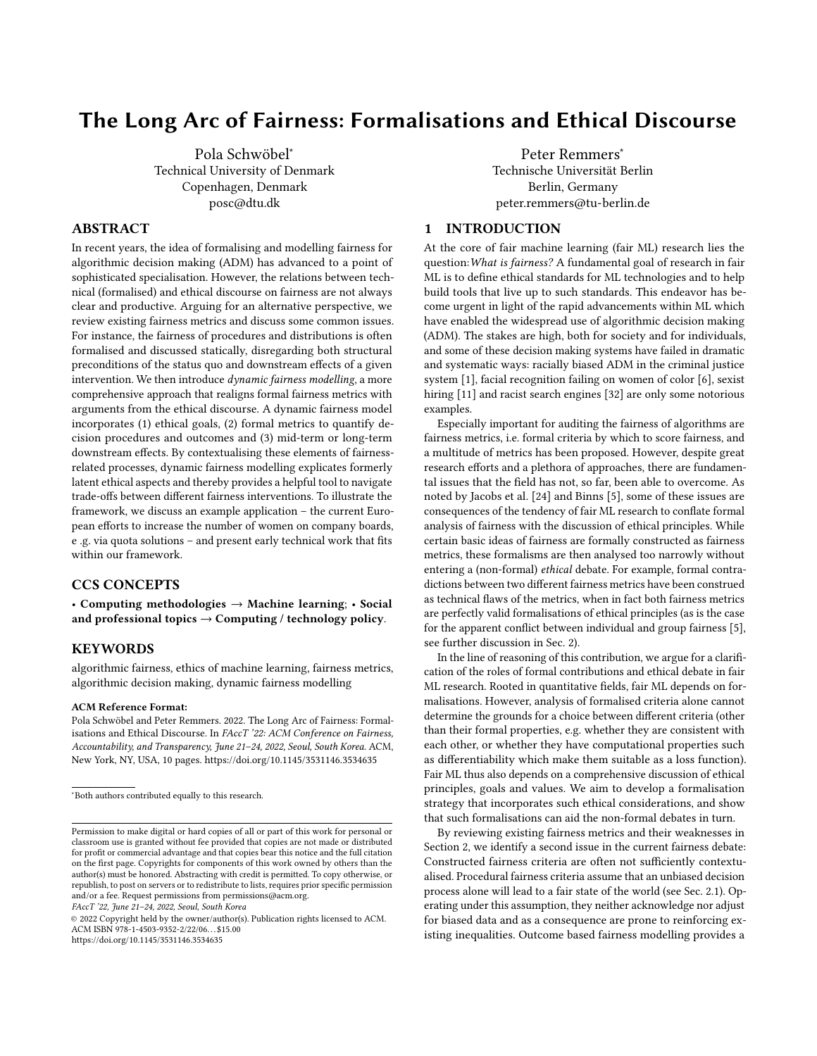# The Long Arc of Fairness: Formalisations and Ethical Discourse

[Pola Schwöbel](https://orcid.org/0000-0003-4846-1917)<sup>∗</sup> Technical University of Denmark Copenhagen, Denmark posc@dtu.dk

# ABSTRACT

In recent years, the idea of formalising and modelling fairness for algorithmic decision making (ADM) has advanced to a point of sophisticated specialisation. However, the relations between technical (formalised) and ethical discourse on fairness are not always clear and productive. Arguing for an alternative perspective, we review existing fairness metrics and discuss some common issues. For instance, the fairness of procedures and distributions is often formalised and discussed statically, disregarding both structural preconditions of the status quo and downstream effects of a given intervention. We then introduce dynamic fairness modelling, a more comprehensive approach that realigns formal fairness metrics with arguments from the ethical discourse. A dynamic fairness model incorporates (1) ethical goals, (2) formal metrics to quantify decision procedures and outcomes and (3) mid-term or long-term downstream effects. By contextualising these elements of fairnessrelated processes, dynamic fairness modelling explicates formerly latent ethical aspects and thereby provides a helpful tool to navigate trade-offs between different fairness interventions. To illustrate the framework, we discuss an example application – the current European efforts to increase the number of women on company boards, e .g. via quota solutions – and present early technical work that fits within our framework.

# CCS CONCEPTS

• Computing methodologies  $\rightarrow$  Machine learning; • Social and professional topics  $\rightarrow$  Computing / technology policy.

#### **KEYWORDS**

algorithmic fairness, ethics of machine learning, fairness metrics, algorithmic decision making, dynamic fairness modelling

#### ACM Reference Format:

Pola Schwöbel and Peter Remmers. 2022. The Long Arc of Fairness: Formalisations and Ethical Discourse. In FAccT '22: ACM Conference on Fairness, Accountability, and Transparency, June 21–24, 2022, Seoul, South Korea. ACM, New York, NY, USA, [10](#page-9-0) pages.<https://doi.org/10.1145/3531146.3534635>

FAccT '22, June 21–24, 2022, Seoul, South Korea

© 2022 Copyright held by the owner/author(s). Publication rights licensed to ACM. ACM ISBN 978-1-4503-9352-2/22/06. . . \$15.00 <https://doi.org/10.1145/3531146.3534635>

[Peter Remmers](https://orcid.org/0000-0001-5625-3144)<sup>∗</sup> Technische Universität Berlin Berlin, Germany peter.remmers@tu-berlin.de

# <span id="page-0-0"></span>1 INTRODUCTION

At the core of fair machine learning (fair ML) research lies the question:What is fairness? A fundamental goal of research in fair ML is to define ethical standards for ML technologies and to help build tools that live up to such standards. This endeavor has become urgent in light of the rapid advancements within ML which have enabled the widespread use of algorithmic decision making (ADM). The stakes are high, both for society and for individuals, and some of these decision making systems have failed in dramatic and systematic ways: racially biased ADM in the criminal justice system [\[1\]](#page-8-0), facial recognition failing on women of color [\[6\]](#page-8-1), sexist hiring [\[11\]](#page-8-2) and racist search engines [\[32\]](#page-9-1) are only some notorious examples.

Especially important for auditing the fairness of algorithms are fairness metrics, i.e. formal criteria by which to score fairness, and a multitude of metrics has been proposed. However, despite great research efforts and a plethora of approaches, there are fundamental issues that the field has not, so far, been able to overcome. As noted by Jacobs et al. [\[24\]](#page-9-2) and Binns [\[5\]](#page-8-3), some of these issues are consequences of the tendency of fair ML research to conflate formal analysis of fairness with the discussion of ethical principles. While certain basic ideas of fairness are formally constructed as fairness metrics, these formalisms are then analysed too narrowly without entering a (non-formal) ethical debate. For example, formal contradictions between two different fairness metrics have been construed as technical flaws of the metrics, when in fact both fairness metrics are perfectly valid formalisations of ethical principles (as is the case for the apparent conflict between individual and group fairness [\[5\]](#page-8-3), see further discussion in Sec. [2\)](#page-1-0).

In the line of reasoning of this contribution, we argue for a clarification of the roles of formal contributions and ethical debate in fair ML research. Rooted in quantitative fields, fair ML depends on formalisations. However, analysis of formalised criteria alone cannot determine the grounds for a choice between different criteria (other than their formal properties, e.g. whether they are consistent with each other, or whether they have computational properties such as differentiability which make them suitable as a loss function). Fair ML thus also depends on a comprehensive discussion of ethical principles, goals and values. We aim to develop a formalisation strategy that incorporates such ethical considerations, and show that such formalisations can aid the non-formal debates in turn.

By reviewing existing fairness metrics and their weaknesses in Section [2,](#page-1-0) we identify a second issue in the current fairness debate: Constructed fairness criteria are often not sufficiently contextualised. Procedural fairness criteria assume that an unbiased decision process alone will lead to a fair state of the world (see Sec. [2.1\)](#page-1-1). Operating under this assumption, they neither acknowledge nor adjust for biased data and as a consequence are prone to reinforcing existing inequalities. Outcome based fairness modelling provides a

<sup>∗</sup>Both authors contributed equally to this research.

Permission to make digital or hard copies of all or part of this work for personal or classroom use is granted without fee provided that copies are not made or distributed for profit or commercial advantage and that copies bear this notice and the full citation on the first page. Copyrights for components of this work owned by others than the author(s) must be honored. Abstracting with credit is permitted. To copy otherwise, or republish, to post on servers or to redistribute to lists, requires prior specific permission and/or a fee. Request permissions from permissions@acm.org.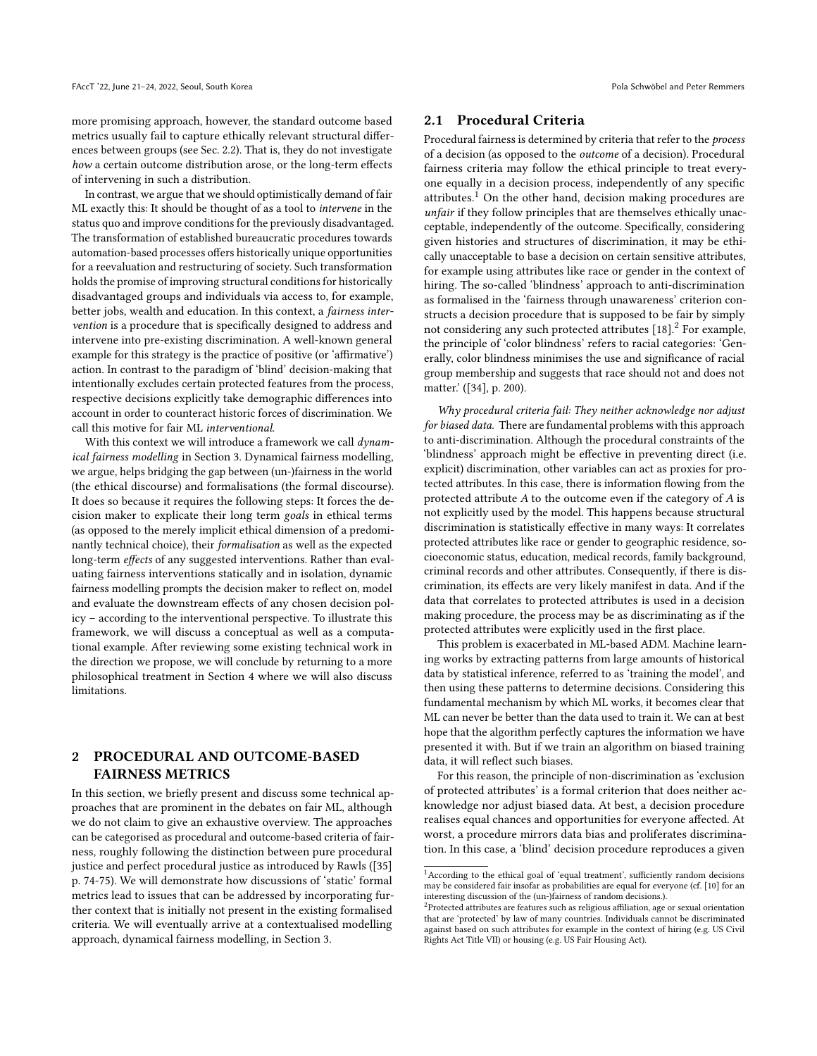more promising approach, however, the standard outcome based metrics usually fail to capture ethically relevant structural differences between groups (see Sec. [2.2\)](#page-2-0). That is, they do not investigate how a certain outcome distribution arose, or the long-term effects of intervening in such a distribution.

In contrast, we argue that we should optimistically demand of fair ML exactly this: It should be thought of as a tool to intervene in the status quo and improve conditions for the previously disadvantaged. The transformation of established bureaucratic procedures towards automation-based processes offers historically unique opportunities for a reevaluation and restructuring of society. Such transformation holds the promise of improving structural conditions for historically disadvantaged groups and individuals via access to, for example, better jobs, wealth and education. In this context, a fairness intervention is a procedure that is specifically designed to address and intervene into pre-existing discrimination. A well-known general example for this strategy is the practice of positive (or 'affirmative') action. In contrast to the paradigm of 'blind' decision-making that intentionally excludes certain protected features from the process, respective decisions explicitly take demographic differences into account in order to counteract historic forces of discrimination. We call this motive for fair ML interventional.

With this context we will introduce a framework we call *dynam*ical fairness modelling in Section [3.](#page-4-0) Dynamical fairness modelling, we argue, helps bridging the gap between (un-)fairness in the world (the ethical discourse) and formalisations (the formal discourse). It does so because it requires the following steps: It forces the decision maker to explicate their long term goals in ethical terms (as opposed to the merely implicit ethical dimension of a predominantly technical choice), their formalisation as well as the expected long-term effects of any suggested interventions. Rather than evaluating fairness interventions statically and in isolation, dynamic fairness modelling prompts the decision maker to reflect on, model and evaluate the downstream effects of any chosen decision policy – according to the interventional perspective. To illustrate this framework, we will discuss a conceptual as well as a computational example. After reviewing some existing technical work in the direction we propose, we will conclude by returning to a more philosophical treatment in Section [4](#page-8-4) where we will also discuss limitations.

# <span id="page-1-0"></span>2 PROCEDURAL AND OUTCOME-BASED FAIRNESS METRICS

In this section, we briefly present and discuss some technical approaches that are prominent in the debates on fair ML, although we do not claim to give an exhaustive overview. The approaches can be categorised as procedural and outcome-based criteria of fairness, roughly following the distinction between pure procedural justice and perfect procedural justice as introduced by Rawls ([\[35\]](#page-9-3) p. 74-75). We will demonstrate how discussions of 'static' formal metrics lead to issues that can be addressed by incorporating further context that is initially not present in the existing formalised criteria. We will eventually arrive at a contextualised modelling approach, dynamical fairness modelling, in Section [3.](#page-4-0)

#### <span id="page-1-1"></span>2.1 Procedural Criteria

Procedural fairness is determined by criteria that refer to the process of a decision (as opposed to the outcome of a decision). Procedural fairness criteria may follow the ethical principle to treat everyone equally in a decision process, independently of any specific attributes.<sup>[1](#page-1-2)</sup> On the other hand, decision making procedures are unfair if they follow principles that are themselves ethically unacceptable, independently of the outcome. Specifically, considering given histories and structures of discrimination, it may be ethically unacceptable to base a decision on certain sensitive attributes, for example using attributes like race or gender in the context of hiring. The so-called 'blindness' approach to anti-discrimination as formalised in the 'fairness through unawareness' criterion constructs a decision procedure that is supposed to be fair by simply not considering any such protected attributes [\[18\]](#page-9-4).<sup>[2](#page-1-3)</sup> For example, the principle of 'color blindness' refers to racial categories: 'Generally, color blindness minimises the use and significance of racial group membership and suggests that race should not and does not matter.' ([\[34\]](#page-9-5), p. 200).

Why procedural criteria fail: They neither acknowledge nor adjust for biased data. There are fundamental problems with this approach to anti-discrimination. Although the procedural constraints of the 'blindness' approach might be effective in preventing direct (i.e. explicit) discrimination, other variables can act as proxies for protected attributes. In this case, there is information flowing from the protected attribute A to the outcome even if the category of A is not explicitly used by the model. This happens because structural discrimination is statistically effective in many ways: It correlates protected attributes like race or gender to geographic residence, socioeconomic status, education, medical records, family background, criminal records and other attributes. Consequently, if there is discrimination, its effects are very likely manifest in data. And if the data that correlates to protected attributes is used in a decision making procedure, the process may be as discriminating as if the protected attributes were explicitly used in the first place.

This problem is exacerbated in ML-based ADM. Machine learning works by extracting patterns from large amounts of historical data by statistical inference, referred to as 'training the model', and then using these patterns to determine decisions. Considering this fundamental mechanism by which ML works, it becomes clear that ML can never be better than the data used to train it. We can at best hope that the algorithm perfectly captures the information we have presented it with. But if we train an algorithm on biased training data, it will reflect such biases.

For this reason, the principle of non-discrimination as 'exclusion of protected attributes' is a formal criterion that does neither acknowledge nor adjust biased data. At best, a decision procedure realises equal chances and opportunities for everyone affected. At worst, a procedure mirrors data bias and proliferates discrimination. In this case, a 'blind' decision procedure reproduces a given

<span id="page-1-2"></span> $^{\rm 1}$  According to the ethical goal of 'equal treatment', sufficiently random decisions may be considered fair insofar as probabilities are equal for everyone (cf. [\[10\]](#page-8-5) for an interesting discussion of the (un-)fairness of random decisions.).

<span id="page-1-3"></span> $2$ Protected attributes are features such as religious affiliation, age or sexual orientation that are 'protected' by law of many countries. Individuals cannot be discriminated against based on such attributes for example in the context of hiring (e.g. US Civil Rights Act Title VII) or housing (e.g. US Fair Housing Act).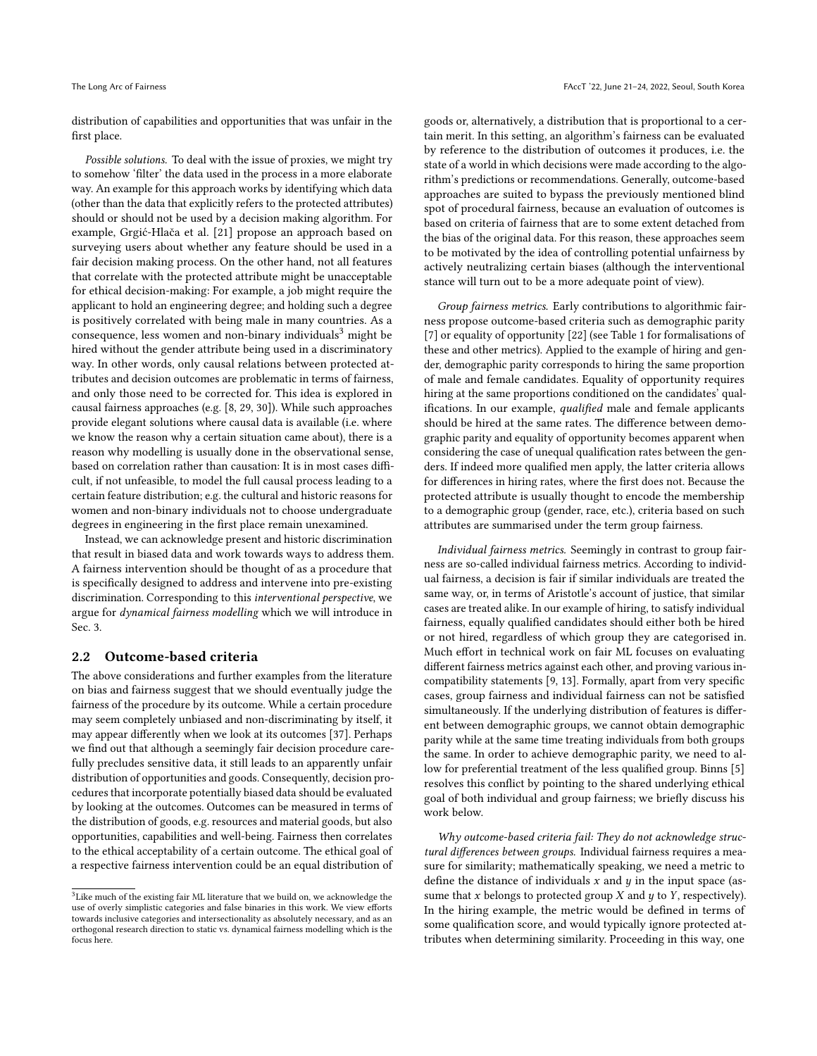distribution of capabilities and opportunities that was unfair in the first place.

Possible solutions. To deal with the issue of proxies, we might try to somehow 'filter' the data used in the process in a more elaborate way. An example for this approach works by identifying which data (other than the data that explicitly refers to the protected attributes) should or should not be used by a decision making algorithm. For example, Grgić-Hlača et al. [\[21\]](#page-9-6) propose an approach based on surveying users about whether any feature should be used in a fair decision making process. On the other hand, not all features that correlate with the protected attribute might be unacceptable for ethical decision-making: For example, a job might require the applicant to hold an engineering degree; and holding such a degree is positively correlated with being male in many countries. As a consequence, less women and non-binary individuals<sup>[3](#page-2-1)</sup> might be hired without the gender attribute being used in a discriminatory way. In other words, only causal relations between protected attributes and decision outcomes are problematic in terms of fairness, and only those need to be corrected for. This idea is explored in causal fairness approaches (e.g. [\[8,](#page-8-6) [29,](#page-9-7) [30\]](#page-9-8)). While such approaches provide elegant solutions where causal data is available (i.e. where we know the reason why a certain situation came about), there is a reason why modelling is usually done in the observational sense, based on correlation rather than causation: It is in most cases difficult, if not unfeasible, to model the full causal process leading to a certain feature distribution; e.g. the cultural and historic reasons for women and non-binary individuals not to choose undergraduate degrees in engineering in the first place remain unexamined.

Instead, we can acknowledge present and historic discrimination that result in biased data and work towards ways to address them. A fairness intervention should be thought of as a procedure that is specifically designed to address and intervene into pre-existing discrimination. Corresponding to this interventional perspective, we argue for dynamical fairness modelling which we will introduce in Sec. [3.](#page-4-0)

#### <span id="page-2-0"></span>2.2 Outcome-based criteria

The above considerations and further examples from the literature on bias and fairness suggest that we should eventually judge the fairness of the procedure by its outcome. While a certain procedure may seem completely unbiased and non-discriminating by itself, it may appear differently when we look at its outcomes [\[37\]](#page-9-9). Perhaps we find out that although a seemingly fair decision procedure carefully precludes sensitive data, it still leads to an apparently unfair distribution of opportunities and goods. Consequently, decision procedures that incorporate potentially biased data should be evaluated by looking at the outcomes. Outcomes can be measured in terms of the distribution of goods, e.g. resources and material goods, but also opportunities, capabilities and well-being. Fairness then correlates to the ethical acceptability of a certain outcome. The ethical goal of a respective fairness intervention could be an equal distribution of

goods or, alternatively, a distribution that is proportional to a certain merit. In this setting, an algorithm's fairness can be evaluated by reference to the distribution of outcomes it produces, i.e. the state of a world in which decisions were made according to the algorithm's predictions or recommendations. Generally, outcome-based approaches are suited to bypass the previously mentioned blind spot of procedural fairness, because an evaluation of outcomes is based on criteria of fairness that are to some extent detached from the bias of the original data. For this reason, these approaches seem to be motivated by the idea of controlling potential unfairness by actively neutralizing certain biases (although the interventional stance will turn out to be a more adequate point of view).

Group fairness metrics. Early contributions to algorithmic fairness propose outcome-based criteria such as demographic parity [\[7\]](#page-8-7) or equality of opportunity [\[22\]](#page-9-10) (see Table [1](#page-3-0) for formalisations of these and other metrics). Applied to the example of hiring and gender, demographic parity corresponds to hiring the same proportion of male and female candidates. Equality of opportunity requires hiring at the same proportions conditioned on the candidates' qualifications. In our example, qualified male and female applicants should be hired at the same rates. The difference between demographic parity and equality of opportunity becomes apparent when considering the case of unequal qualification rates between the genders. If indeed more qualified men apply, the latter criteria allows for differences in hiring rates, where the first does not. Because the protected attribute is usually thought to encode the membership to a demographic group (gender, race, etc.), criteria based on such attributes are summarised under the term group fairness.

Individual fairness metrics. Seemingly in contrast to group fairness are so-called individual fairness metrics. According to individual fairness, a decision is fair if similar individuals are treated the same way, or, in terms of Aristotle's account of justice, that similar cases are treated alike. In our example of hiring, to satisfy individual fairness, equally qualified candidates should either both be hired or not hired, regardless of which group they are categorised in. Much effort in technical work on fair ML focuses on evaluating different fairness metrics against each other, and proving various incompatibility statements [\[9,](#page-8-8) [13\]](#page-9-11). Formally, apart from very specific cases, group fairness and individual fairness can not be satisfied simultaneously. If the underlying distribution of features is different between demographic groups, we cannot obtain demographic parity while at the same time treating individuals from both groups the same. In order to achieve demographic parity, we need to allow for preferential treatment of the less qualified group. Binns [\[5\]](#page-8-3) resolves this conflict by pointing to the shared underlying ethical goal of both individual and group fairness; we briefly discuss his work below.

Why outcome-based criteria fail: They do not acknowledge structural differences between groups. Individual fairness requires a measure for similarity; mathematically speaking, we need a metric to define the distance of individuals  $x$  and  $y$  in the input space (assume that  $x$  belongs to protected group  $X$  and  $y$  to  $Y$ , respectively). In the hiring example, the metric would be defined in terms of some qualification score, and would typically ignore protected attributes when determining similarity. Proceeding in this way, one

<span id="page-2-1"></span><sup>&</sup>lt;sup>3</sup>Like much of the existing fair ML literature that we build on, we acknowledge the use of overly simplistic categories and false binaries in this work. We view efforts towards inclusive categories and intersectionality as absolutely necessary, and as an orthogonal research direction to static vs. dynamical fairness modelling which is the focus here.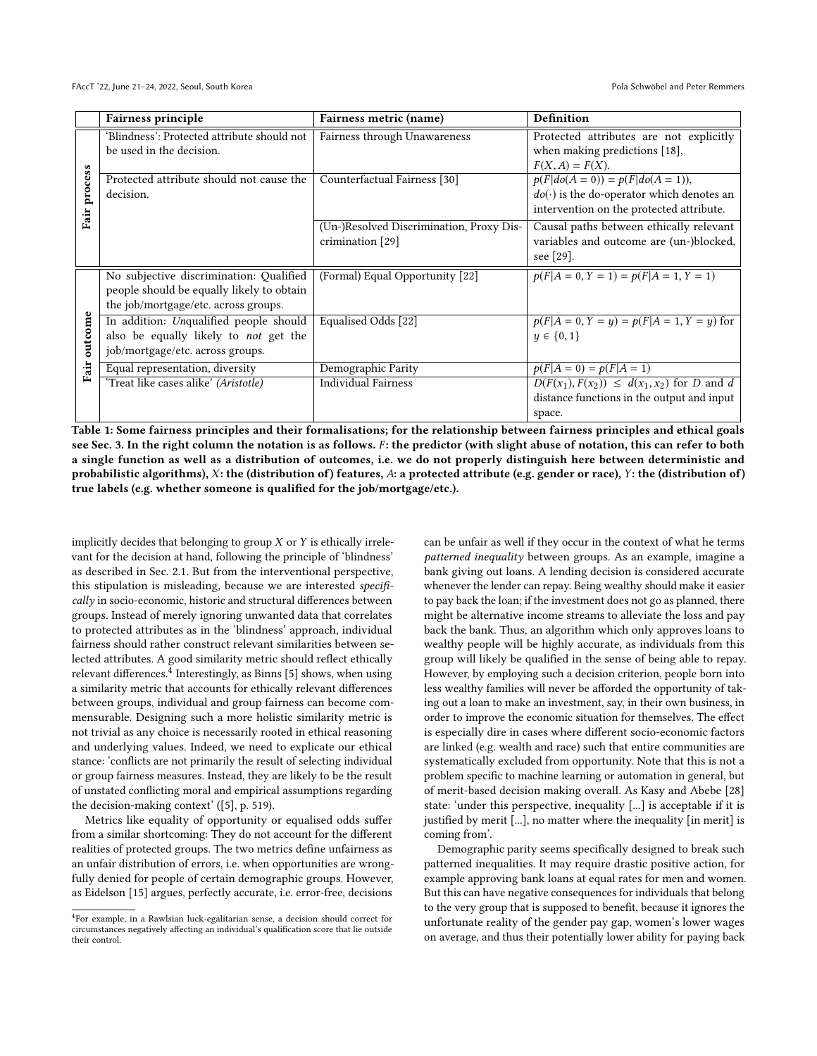<span id="page-3-0"></span>

|              | <b>Fairness principle</b>                   | Fairness metric (name)                   | <b>Definition</b>                                |
|--------------|---------------------------------------------|------------------------------------------|--------------------------------------------------|
| Fair process | 'Blindness': Protected attribute should not | Fairness through Unawareness             | Protected attributes are not explicitly          |
|              | be used in the decision.                    |                                          | when making predictions [18],                    |
|              |                                             |                                          | $F(X, A) = F(X)$ .                               |
|              | Protected attribute should not cause the    | Counterfactual Fairness [30]             | $p(F do(A = 0)) = p(F do(A = 1)),$               |
|              | decision.                                   |                                          | $do(\cdot)$ is the do-operator which denotes an  |
|              |                                             |                                          | intervention on the protected attribute.         |
|              |                                             | (Un-)Resolved Discrimination, Proxy Dis- | Causal paths between ethically relevant          |
|              |                                             | crimination [29]                         | variables and outcome are (un-)blocked,          |
|              |                                             |                                          | see [29].                                        |
|              | No subjective discrimination: Qualified     | (Formal) Equal Opportunity [22]          | $p(F A=0, Y=1) = p(F A=1, Y=1)$                  |
| outcome      | people should be equally likely to obtain   |                                          |                                                  |
|              | the job/mortgage/etc. across groups.        |                                          |                                                  |
|              | In addition: Unqualified people should      | Equalised Odds [22]                      | $p(F A = 0, Y = y) = p(F A = 1, Y = y)$ for      |
|              | also be equally likely to not get the       |                                          | $y \in \{0, 1\}$                                 |
| Fair         | job/mortgage/etc. across groups.            |                                          |                                                  |
|              | Equal representation, diversity             | Demographic Parity                       | $p(F A = 0) = p(F A = 1)$                        |
|              | 'Treat like cases alike' (Aristotle)        | <b>Individual Fairness</b>               | $D(F(x_1), F(x_2)) \leq d(x_1, x_2)$ for D and d |
|              |                                             |                                          | distance functions in the output and input       |
|              |                                             |                                          | space.                                           |

Table 1: Some fairness principles and their formalisations; for the relationship between fairness principles and ethical goals see Sec. [3.](#page-4-0) In the right column the notation is as follows. F: the predictor (with slight abuse of notation, this can refer to both a single function as well as a distribution of outcomes, i.e. we do not properly distinguish here between deterministic and probabilistic algorithms), X: the (distribution of) features, A: a protected attribute (e.g. gender or race), Y: the (distribution of) true labels (e.g. whether someone is qualified for the job/mortgage/etc.).

implicitly decides that belonging to group  $X$  or  $Y$  is ethically irrelevant for the decision at hand, following the principle of 'blindness' as described in Sec. [2.1.](#page-1-1) But from the interventional perspective, this stipulation is misleading, because we are interested specifically in socio-economic, historic and structural differences between groups. Instead of merely ignoring unwanted data that correlates to protected attributes as in the 'blindness' approach, individual fairness should rather construct relevant similarities between selected attributes. A good similarity metric should reflect ethically relevant differences. $^{\bar{4}}$  $^{\bar{4}}$  $^{\bar{4}}$  Interestingly, as Binns [\[5\]](#page-8-3) shows, when using a similarity metric that accounts for ethically relevant differences between groups, individual and group fairness can become commensurable. Designing such a more holistic similarity metric is not trivial as any choice is necessarily rooted in ethical reasoning and underlying values. Indeed, we need to explicate our ethical stance: 'conflicts are not primarily the result of selecting individual or group fairness measures. Instead, they are likely to be the result of unstated conflicting moral and empirical assumptions regarding the decision-making context' ([\[5\]](#page-8-3), p. 519).

Metrics like equality of opportunity or equalised odds suffer from a similar shortcoming: They do not account for the different realities of protected groups. The two metrics define unfairness as an unfair distribution of errors, i.e. when opportunities are wrongfully denied for people of certain demographic groups. However, as Eidelson [\[15\]](#page-9-12) argues, perfectly accurate, i.e. error-free, decisions

can be unfair as well if they occur in the context of what he terms patterned inequality between groups. As an example, imagine a bank giving out loans. A lending decision is considered accurate whenever the lender can repay. Being wealthy should make it easier to pay back the loan; if the investment does not go as planned, there might be alternative income streams to alleviate the loss and pay back the bank. Thus, an algorithm which only approves loans to wealthy people will be highly accurate, as individuals from this group will likely be qualified in the sense of being able to repay. However, by employing such a decision criterion, people born into less wealthy families will never be afforded the opportunity of taking out a loan to make an investment, say, in their own business, in order to improve the economic situation for themselves. The effect is especially dire in cases where different socio-economic factors are linked (e.g. wealth and race) such that entire communities are systematically excluded from opportunity. Note that this is not a problem specific to machine learning or automation in general, but of merit-based decision making overall. As Kasy and Abebe [\[28\]](#page-9-13) state: 'under this perspective, inequality [...] is acceptable if it is justified by merit [...], no matter where the inequality [in merit] is coming from'.

Demographic parity seems specifically designed to break such patterned inequalities. It may require drastic positive action, for example approving bank loans at equal rates for men and women. But this can have negative consequences for individuals that belong to the very group that is supposed to benefit, because it ignores the unfortunate reality of the gender pay gap, women's lower wages on average, and thus their potentially lower ability for paying back

<span id="page-3-1"></span><sup>4</sup> For example, in a Rawlsian luck-egalitarian sense, a decision should correct for circumstances negatively affecting an individual's qualification score that lie outside their control.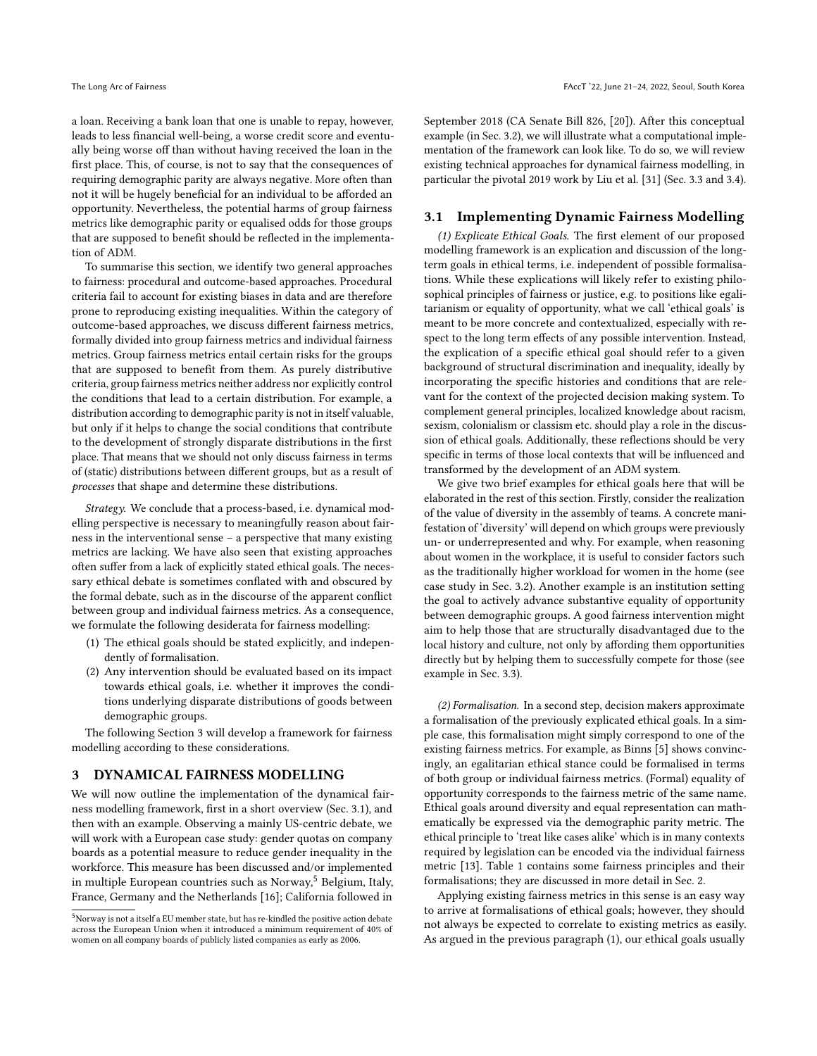a loan. Receiving a bank loan that one is unable to repay, however, leads to less financial well-being, a worse credit score and eventually being worse off than without having received the loan in the first place. This, of course, is not to say that the consequences of requiring demographic parity are always negative. More often than not it will be hugely beneficial for an individual to be afforded an opportunity. Nevertheless, the potential harms of group fairness metrics like demographic parity or equalised odds for those groups that are supposed to benefit should be reflected in the implementation of ADM.

To summarise this section, we identify two general approaches to fairness: procedural and outcome-based approaches. Procedural criteria fail to account for existing biases in data and are therefore prone to reproducing existing inequalities. Within the category of outcome-based approaches, we discuss different fairness metrics, formally divided into group fairness metrics and individual fairness metrics. Group fairness metrics entail certain risks for the groups that are supposed to benefit from them. As purely distributive criteria, group fairness metrics neither address nor explicitly control the conditions that lead to a certain distribution. For example, a distribution according to demographic parity is not in itself valuable, but only if it helps to change the social conditions that contribute to the development of strongly disparate distributions in the first place. That means that we should not only discuss fairness in terms of (static) distributions between different groups, but as a result of processes that shape and determine these distributions.

Strategy. We conclude that a process-based, i.e. dynamical modelling perspective is necessary to meaningfully reason about fairness in the interventional sense – a perspective that many existing metrics are lacking. We have also seen that existing approaches often suffer from a lack of explicitly stated ethical goals. The necessary ethical debate is sometimes conflated with and obscured by the formal debate, such as in the discourse of the apparent conflict between group and individual fairness metrics. As a consequence, we formulate the following desiderata for fairness modelling:

- (1) The ethical goals should be stated explicitly, and independently of formalisation.
- (2) Any intervention should be evaluated based on its impact towards ethical goals, i.e. whether it improves the conditions underlying disparate distributions of goods between demographic groups.

The following Section [3](#page-4-0) will develop a framework for fairness modelling according to these considerations.

#### <span id="page-4-0"></span>3 DYNAMICAL FAIRNESS MODELLING

We will now outline the implementation of the dynamical fairness modelling framework, first in a short overview (Sec. [3.1\)](#page-4-1), and then with an example. Observing a mainly US-centric debate, we will work with a European case study: gender quotas on company boards as a potential measure to reduce gender inequality in the workforce. This measure has been discussed and/or implemented in multiple European countries such as Norway, $5$  Belgium, Italy, France, Germany and the Netherlands [\[16\]](#page-9-14); California followed in

September 2018 (CA Senate Bill 826, [\[20\]](#page-9-15)). After this conceptual example (in Sec. [3.2\)](#page-5-0), we will illustrate what a computational implementation of the framework can look like. To do so, we will review existing technical approaches for dynamical fairness modelling, in particular the pivotal 2019 work by Liu et al. [\[31\]](#page-9-16) (Sec. [3.3](#page-7-0) and [3.4\)](#page-7-1).

#### <span id="page-4-1"></span>3.1 Implementing Dynamic Fairness Modelling

(1) Explicate Ethical Goals. The first element of our proposed modelling framework is an explication and discussion of the longterm goals in ethical terms, i.e. independent of possible formalisations. While these explications will likely refer to existing philosophical principles of fairness or justice, e.g. to positions like egalitarianism or equality of opportunity, what we call 'ethical goals' is meant to be more concrete and contextualized, especially with respect to the long term effects of any possible intervention. Instead, the explication of a specific ethical goal should refer to a given background of structural discrimination and inequality, ideally by incorporating the specific histories and conditions that are relevant for the context of the projected decision making system. To complement general principles, localized knowledge about racism, sexism, colonialism or classism etc. should play a role in the discussion of ethical goals. Additionally, these reflections should be very specific in terms of those local contexts that will be influenced and transformed by the development of an ADM system.

We give two brief examples for ethical goals here that will be elaborated in the rest of this section. Firstly, consider the realization of the value of diversity in the assembly of teams. A concrete manifestation of 'diversity' will depend on which groups were previously un- or underrepresented and why. For example, when reasoning about women in the workplace, it is useful to consider factors such as the traditionally higher workload for women in the home (see case study in Sec. [3.2\)](#page-5-0). Another example is an institution setting the goal to actively advance substantive equality of opportunity between demographic groups. A good fairness intervention might aim to help those that are structurally disadvantaged due to the local history and culture, not only by affording them opportunities directly but by helping them to successfully compete for those (see example in Sec. [3.3\)](#page-7-0).

(2) Formalisation. In a second step, decision makers approximate a formalisation of the previously explicated ethical goals. In a simple case, this formalisation might simply correspond to one of the existing fairness metrics. For example, as Binns [\[5\]](#page-8-3) shows convincingly, an egalitarian ethical stance could be formalised in terms of both group or individual fairness metrics. (Formal) equality of opportunity corresponds to the fairness metric of the same name. Ethical goals around diversity and equal representation can mathematically be expressed via the demographic parity metric. The ethical principle to 'treat like cases alike' which is in many contexts required by legislation can be encoded via the individual fairness metric [\[13\]](#page-9-11). Table [1](#page-3-0) contains some fairness principles and their formalisations; they are discussed in more detail in Sec. [2.](#page-1-0)

Applying existing fairness metrics in this sense is an easy way to arrive at formalisations of ethical goals; however, they should not always be expected to correlate to existing metrics as easily. As argued in the previous paragraph (1), our ethical goals usually

<span id="page-4-2"></span> ${}^{5}$  Norway is not a itself a EU member state, but has re-kindled the positive action debate across the European Union when it introduced a minimum requirement of 40% of women on all company boards of publicly listed companies as early as 2006.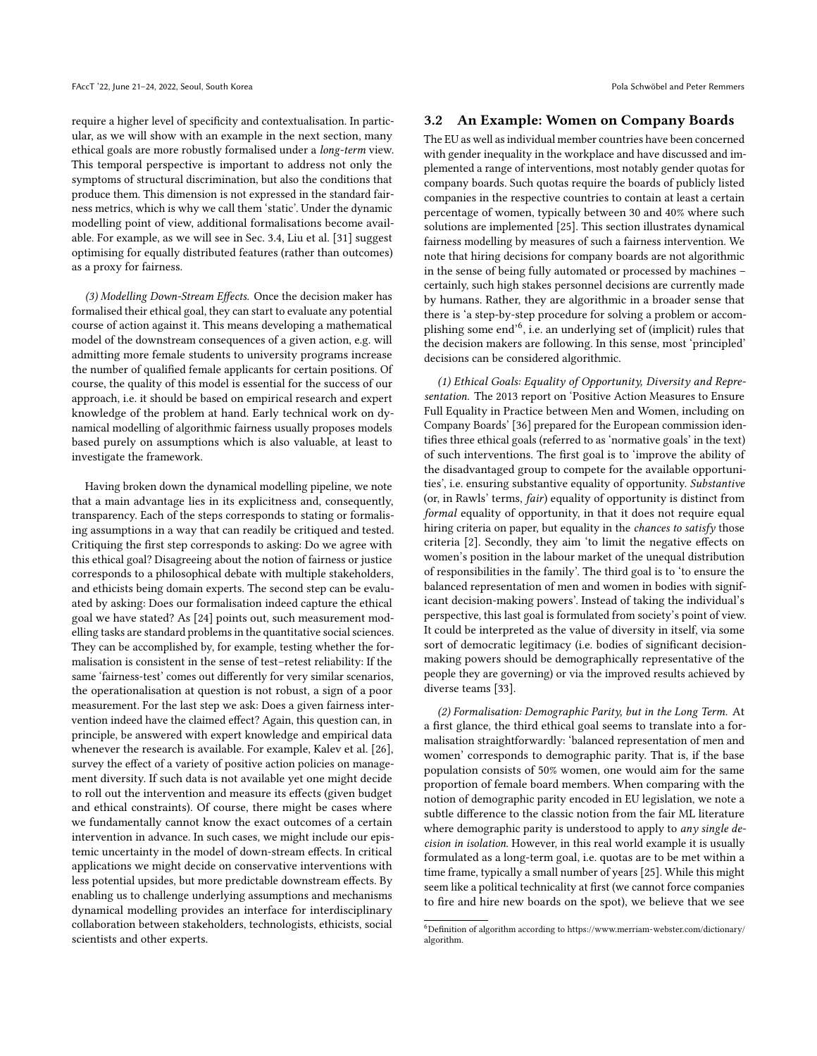require a higher level of specificity and contextualisation. In particular, as we will show with an example in the next section, many ethical goals are more robustly formalised under a long-term view. This temporal perspective is important to address not only the symptoms of structural discrimination, but also the conditions that produce them. This dimension is not expressed in the standard fairness metrics, which is why we call them 'static'. Under the dynamic modelling point of view, additional formalisations become available. For example, as we will see in Sec. [3.4,](#page-7-1) Liu et al. [\[31\]](#page-9-16) suggest optimising for equally distributed features (rather than outcomes) as a proxy for fairness.

(3) Modelling Down-Stream Effects. Once the decision maker has formalised their ethical goal, they can start to evaluate any potential course of action against it. This means developing a mathematical model of the downstream consequences of a given action, e.g. will admitting more female students to university programs increase the number of qualified female applicants for certain positions. Of course, the quality of this model is essential for the success of our approach, i.e. it should be based on empirical research and expert knowledge of the problem at hand. Early technical work on dynamical modelling of algorithmic fairness usually proposes models based purely on assumptions which is also valuable, at least to investigate the framework.

Having broken down the dynamical modelling pipeline, we note that a main advantage lies in its explicitness and, consequently, transparency. Each of the steps corresponds to stating or formalising assumptions in a way that can readily be critiqued and tested. Critiquing the first step corresponds to asking: Do we agree with this ethical goal? Disagreeing about the notion of fairness or justice corresponds to a philosophical debate with multiple stakeholders, and ethicists being domain experts. The second step can be evaluated by asking: Does our formalisation indeed capture the ethical goal we have stated? As [\[24\]](#page-9-2) points out, such measurement modelling tasks are standard problems in the quantitative social sciences. They can be accomplished by, for example, testing whether the formalisation is consistent in the sense of test–retest reliability: If the same 'fairness-test' comes out differently for very similar scenarios, the operationalisation at question is not robust, a sign of a poor measurement. For the last step we ask: Does a given fairness intervention indeed have the claimed effect? Again, this question can, in principle, be answered with expert knowledge and empirical data whenever the research is available. For example, Kalev et al. [\[26\]](#page-9-17), survey the effect of a variety of positive action policies on management diversity. If such data is not available yet one might decide to roll out the intervention and measure its effects (given budget and ethical constraints). Of course, there might be cases where we fundamentally cannot know the exact outcomes of a certain intervention in advance. In such cases, we might include our epistemic uncertainty in the model of down-stream effects. In critical applications we might decide on conservative interventions with less potential upsides, but more predictable downstream effects. By enabling us to challenge underlying assumptions and mechanisms dynamical modelling provides an interface for interdisciplinary collaboration between stakeholders, technologists, ethicists, social scientists and other experts.

#### <span id="page-5-0"></span>3.2 An Example: Women on Company Boards

The EU as well as individual member countries have been concerned with gender inequality in the workplace and have discussed and implemented a range of interventions, most notably gender quotas for company boards. Such quotas require the boards of publicly listed companies in the respective countries to contain at least a certain percentage of women, typically between 30 and 40% where such solutions are implemented [\[25\]](#page-9-18). This section illustrates dynamical fairness modelling by measures of such a fairness intervention. We note that hiring decisions for company boards are not algorithmic in the sense of being fully automated or processed by machines – certainly, such high stakes personnel decisions are currently made by humans. Rather, they are algorithmic in a broader sense that there is 'a step-by-step procedure for solving a problem or accom-plishing some end'<sup>[6](#page-5-1)</sup>, i.e. an underlying set of (implicit) rules that the decision makers are following. In this sense, most 'principled' decisions can be considered algorithmic.

(1) Ethical Goals: Equality of Opportunity, Diversity and Representation. The 2013 report on 'Positive Action Measures to Ensure Full Equality in Practice between Men and Women, including on Company Boards' [\[36\]](#page-9-19) prepared for the European commission identifies three ethical goals (referred to as 'normative goals' in the text) of such interventions. The first goal is to 'improve the ability of the disadvantaged group to compete for the available opportunities', i.e. ensuring substantive equality of opportunity. Substantive (or, in Rawls' terms, fair) equality of opportunity is distinct from formal equality of opportunity, in that it does not require equal hiring criteria on paper, but equality in the chances to satisfy those criteria [\[2\]](#page-8-9). Secondly, they aim 'to limit the negative effects on women's position in the labour market of the unequal distribution of responsibilities in the family'. The third goal is to 'to ensure the balanced representation of men and women in bodies with significant decision-making powers'. Instead of taking the individual's perspective, this last goal is formulated from society's point of view. It could be interpreted as the value of diversity in itself, via some sort of democratic legitimacy (i.e. bodies of significant decisionmaking powers should be demographically representative of the people they are governing) or via the improved results achieved by diverse teams [\[33\]](#page-9-20).

(2) Formalisation: Demographic Parity, but in the Long Term. At a first glance, the third ethical goal seems to translate into a formalisation straightforwardly: 'balanced representation of men and women' corresponds to demographic parity. That is, if the base population consists of 50% women, one would aim for the same proportion of female board members. When comparing with the notion of demographic parity encoded in EU legislation, we note a subtle difference to the classic notion from the fair ML literature where demographic parity is understood to apply to *any single de*cision in isolation. However, in this real world example it is usually formulated as a long-term goal, i.e. quotas are to be met within a time frame, typically a small number of years [\[25\]](#page-9-18). While this might seem like a political technicality at first (we cannot force companies to fire and hire new boards on the spot), we believe that we see

<span id="page-5-1"></span> $^6$  Definition of algorithm according to [https://www.merriam-webster.com/dictionary/](https://www.merriam-webster.com/dictionary/algorithm)  $\,$ [algorithm.](https://www.merriam-webster.com/dictionary/algorithm)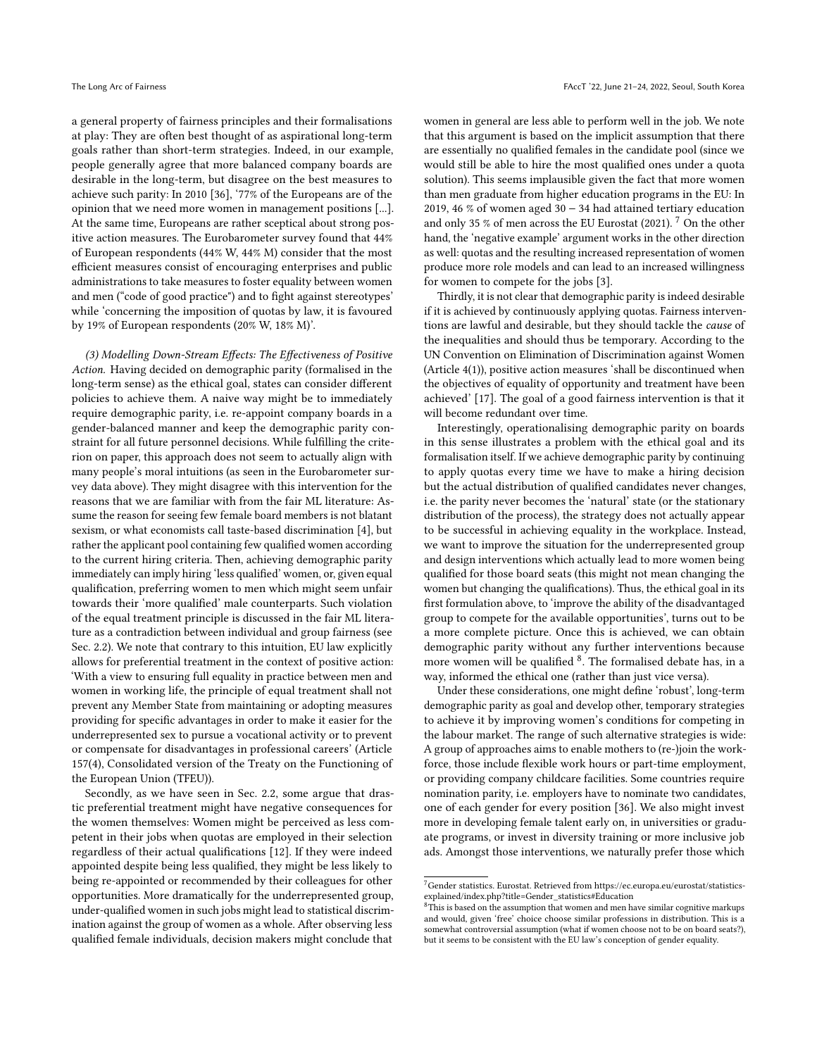a general property of fairness principles and their formalisations at play: They are often best thought of as aspirational long-term goals rather than short-term strategies. Indeed, in our example, people generally agree that more balanced company boards are desirable in the long-term, but disagree on the best measures to achieve such parity: In 2010 [\[36\]](#page-9-19), '77% of the Europeans are of the opinion that we need more women in management positions [...]. At the same time, Europeans are rather sceptical about strong positive action measures. The Eurobarometer survey found that 44% of European respondents (44% W, 44% M) consider that the most efficient measures consist of encouraging enterprises and public administrations to take measures to foster equality between women and men ("code of good practice") and to fight against stereotypes' while 'concerning the imposition of quotas by law, it is favoured by 19% of European respondents (20% W, 18% M)'.

(3) Modelling Down-Stream Effects: The Effectiveness of Positive Action. Having decided on demographic parity (formalised in the long-term sense) as the ethical goal, states can consider different policies to achieve them. A naive way might be to immediately require demographic parity, i.e. re-appoint company boards in a gender-balanced manner and keep the demographic parity constraint for all future personnel decisions. While fulfilling the criterion on paper, this approach does not seem to actually align with many people's moral intuitions (as seen in the Eurobarometer survey data above). They might disagree with this intervention for the reasons that we are familiar with from the fair ML literature: Assume the reason for seeing few female board members is not blatant sexism, or what economists call taste-based discrimination [\[4\]](#page-8-10), but rather the applicant pool containing few qualified women according to the current hiring criteria. Then, achieving demographic parity immediately can imply hiring 'less qualified' women, or, given equal qualification, preferring women to men which might seem unfair towards their 'more qualified' male counterparts. Such violation of the equal treatment principle is discussed in the fair ML literature as a contradiction between individual and group fairness (see Sec. [2.2\)](#page-2-0). We note that contrary to this intuition, EU law explicitly allows for preferential treatment in the context of positive action: 'With a view to ensuring full equality in practice between men and women in working life, the principle of equal treatment shall not prevent any Member State from maintaining or adopting measures providing for specific advantages in order to make it easier for the underrepresented sex to pursue a vocational activity or to prevent or compensate for disadvantages in professional careers' (Article 157(4), Consolidated version of the Treaty on the Functioning of the European Union (TFEU)).

Secondly, as we have seen in Sec. [2.2,](#page-2-0) some argue that drastic preferential treatment might have negative consequences for the women themselves: Women might be perceived as less competent in their jobs when quotas are employed in their selection regardless of their actual qualifications [\[12\]](#page-8-11). If they were indeed appointed despite being less qualified, they might be less likely to being re-appointed or recommended by their colleagues for other opportunities. More dramatically for the underrepresented group, under-qualified women in such jobs might lead to statistical discrimination against the group of women as a whole. After observing less qualified female individuals, decision makers might conclude that

women in general are less able to perform well in the job. We note that this argument is based on the implicit assumption that there are essentially no qualified females in the candidate pool (since we would still be able to hire the most qualified ones under a quota solution). This seems implausible given the fact that more women than men graduate from higher education programs in the EU: In 2019, 46 % of women aged 30 − 34 had attained tertiary education and only 35  $\%$  of men across the EU Eurostat (2021).  $^7$  $^7$  On the other hand, the 'negative example' argument works in the other direction as well: quotas and the resulting increased representation of women produce more role models and can lead to an increased willingness for women to compete for the jobs [\[3\]](#page-8-12).

Thirdly, it is not clear that demographic parity is indeed desirable if it is achieved by continuously applying quotas. Fairness interventions are lawful and desirable, but they should tackle the cause of the inequalities and should thus be temporary. According to the UN Convention on Elimination of Discrimination against Women (Article 4(1)), positive action measures 'shall be discontinued when the objectives of equality of opportunity and treatment have been achieved' [\[17\]](#page-9-21). The goal of a good fairness intervention is that it will become redundant over time.

Interestingly, operationalising demographic parity on boards in this sense illustrates a problem with the ethical goal and its formalisation itself. If we achieve demographic parity by continuing to apply quotas every time we have to make a hiring decision but the actual distribution of qualified candidates never changes, i.e. the parity never becomes the 'natural' state (or the stationary distribution of the process), the strategy does not actually appear to be successful in achieving equality in the workplace. Instead, we want to improve the situation for the underrepresented group and design interventions which actually lead to more women being qualified for those board seats (this might not mean changing the women but changing the qualifications). Thus, the ethical goal in its first formulation above, to 'improve the ability of the disadvantaged group to compete for the available opportunities', turns out to be a more complete picture. Once this is achieved, we can obtain demographic parity without any further interventions because more women will be qualified <sup>[8](#page-6-1)</sup>. The formalised debate has, in a way, informed the ethical one (rather than just vice versa).

Under these considerations, one might define 'robust', long-term demographic parity as goal and develop other, temporary strategies to achieve it by improving women's conditions for competing in the labour market. The range of such alternative strategies is wide: A group of approaches aims to enable mothers to (re-)join the workforce, those include flexible work hours or part-time employment, or providing company childcare facilities. Some countries require nomination parity, i.e. employers have to nominate two candidates, one of each gender for every position [\[36\]](#page-9-19). We also might invest more in developing female talent early on, in universities or graduate programs, or invest in diversity training or more inclusive job ads. Amongst those interventions, we naturally prefer those which

<span id="page-6-0"></span> $^7\rm{Gender}$  statistics. Eurostat. Retrieved from [https://ec.europa.eu/eurostat/statistics](https://ec.europa.eu/eurostat/statistics-explained/index.php?title=Gender_statistics#Education)[explained/index.php?title=Gender\\_statistics#Education](https://ec.europa.eu/eurostat/statistics-explained/index.php?title=Gender_statistics#Education)

<span id="page-6-1"></span> $8$ This is based on the assumption that women and men have similar cognitive markups and would, given 'free' choice choose similar professions in distribution. This is a somewhat controversial assumption (what if women choose not to be on board seats?), but it seems to be consistent with the EU law's conception of gender equality.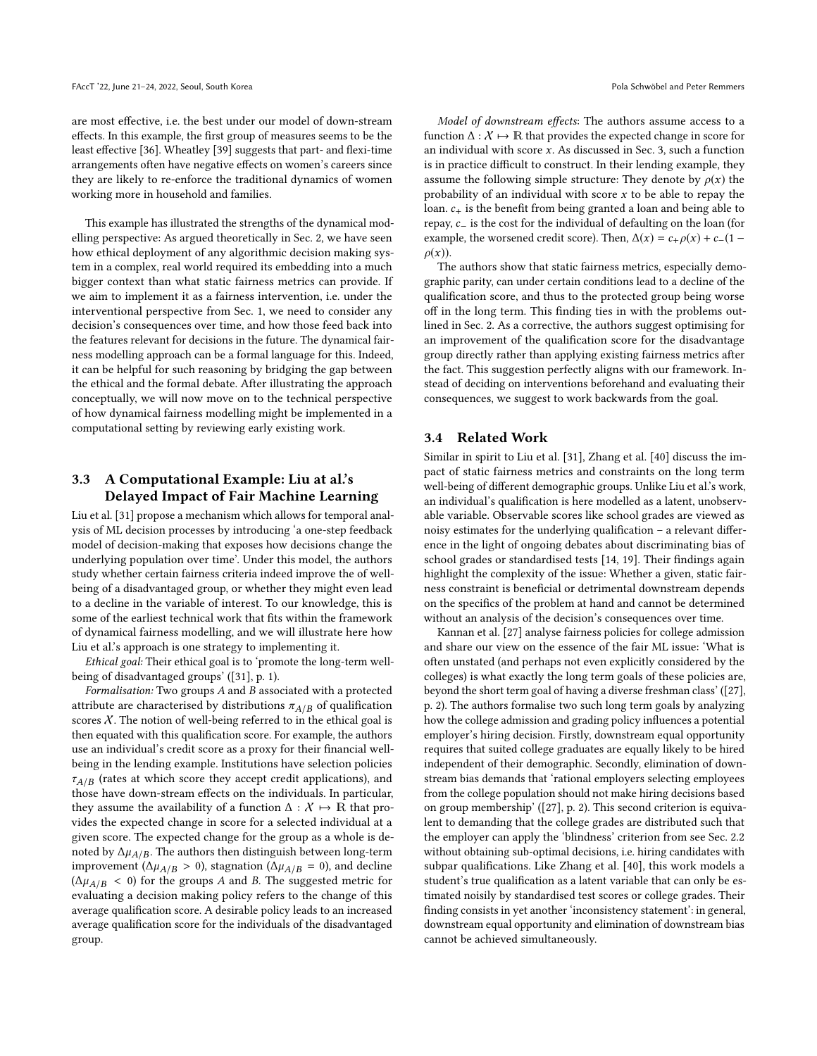are most effective, i.e. the best under our model of down-stream effects. In this example, the first group of measures seems to be the least effective [\[36\]](#page-9-19). Wheatley [\[39\]](#page-9-22) suggests that part- and flexi-time arrangements often have negative effects on women's careers since they are likely to re-enforce the traditional dynamics of women working more in household and families.

This example has illustrated the strengths of the dynamical modelling perspective: As argued theoretically in Sec. [2,](#page-1-0) we have seen how ethical deployment of any algorithmic decision making system in a complex, real world required its embedding into a much bigger context than what static fairness metrics can provide. If we aim to implement it as a fairness intervention, i.e. under the interventional perspective from Sec. [1,](#page-0-0) we need to consider any decision's consequences over time, and how those feed back into the features relevant for decisions in the future. The dynamical fairness modelling approach can be a formal language for this. Indeed, it can be helpful for such reasoning by bridging the gap between the ethical and the formal debate. After illustrating the approach conceptually, we will now move on to the technical perspective of how dynamical fairness modelling might be implemented in a computational setting by reviewing early existing work.

# <span id="page-7-0"></span>3.3 A Computational Example: Liu at al.'s Delayed Impact of Fair Machine Learning

Liu et al. [\[31\]](#page-9-16) propose a mechanism which allows for temporal analysis of ML decision processes by introducing 'a one-step feedback model of decision-making that exposes how decisions change the underlying population over time'. Under this model, the authors study whether certain fairness criteria indeed improve the of wellbeing of a disadvantaged group, or whether they might even lead to a decline in the variable of interest. To our knowledge, this is some of the earliest technical work that fits within the framework of dynamical fairness modelling, and we will illustrate here how Liu et al.'s approach is one strategy to implementing it.

Ethical goal: Their ethical goal is to 'promote the long-term wellbeing of disadvantaged groups' ([\[31\]](#page-9-16), p. 1).

Formalisation: Two groups A and B associated with a protected attribute are characterised by distributions  $\pi_{A/B}$  of qualification scores  $X$ . The notion of well-being referred to in the ethical goal is then equated with this qualification score. For example, the authors use an individual's credit score as a proxy for their financial wellbeing in the lending example. Institutions have selection policies  $\tau_{A/B}$  (rates at which score they accept credit applications), and those have down-stream effects on the individuals. In particular, they assume the availability of a function  $\Delta : \mathcal{X} \mapsto \mathbb{R}$  that provides the expected change in score for a selected individual at a given score. The expected change for the group as a whole is denoted by  $\Delta \mu_{A/B}$ . The authors then distinguish between long-term improvement ( $\Delta \mu_{A/B} > 0$ ), stagnation ( $\Delta \mu_{A/B} = 0$ ), and decline  $(\Delta \mu_{A/B} < 0)$  for the groups A and B. The suggested metric for evaluating a decision making policy refers to the change of this average qualification score. A desirable policy leads to an increased average qualification score for the individuals of the disadvantaged group.

Model of downstream effects: The authors assume access to a function  $\Delta : \mathcal{X} \mapsto \mathbb{R}$  that provides the expected change in score for an individual with score  $x$ . As discussed in Sec. [3,](#page-4-0) such a function is in practice difficult to construct. In their lending example, they assume the following simple structure: They denote by  $\rho(x)$  the probability of an individual with score  $x$  to be able to repay the loan.  $c_{+}$  is the benefit from being granted a loan and being able to repay, <sup>c</sup><sup>−</sup> is the cost for the individual of defaulting on the loan (for example, the worsened credit score). Then,  $\Delta(x) = c_+\rho(x) + c_-(1 \rho(x)$ ).

The authors show that static fairness metrics, especially demographic parity, can under certain conditions lead to a decline of the qualification score, and thus to the protected group being worse off in the long term. This finding ties in with the problems outlined in Sec. [2.](#page-1-0) As a corrective, the authors suggest optimising for an improvement of the qualification score for the disadvantage group directly rather than applying existing fairness metrics after the fact. This suggestion perfectly aligns with our framework. Instead of deciding on interventions beforehand and evaluating their consequences, we suggest to work backwards from the goal.

## <span id="page-7-1"></span>3.4 Related Work

Similar in spirit to Liu et al. [\[31\]](#page-9-16), Zhang et al. [\[40\]](#page-9-23) discuss the impact of static fairness metrics and constraints on the long term well-being of different demographic groups. Unlike Liu et al.'s work, an individual's qualification is here modelled as a latent, unobservable variable. Observable scores like school grades are viewed as noisy estimates for the underlying qualification – a relevant difference in the light of ongoing debates about discriminating bias of school grades or standardised tests [\[14,](#page-9-24) [19\]](#page-9-25). Their findings again highlight the complexity of the issue: Whether a given, static fairness constraint is beneficial or detrimental downstream depends on the specifics of the problem at hand and cannot be determined without an analysis of the decision's consequences over time.

Kannan et al. [\[27\]](#page-9-26) analyse fairness policies for college admission and share our view on the essence of the fair ML issue: 'What is often unstated (and perhaps not even explicitly considered by the colleges) is what exactly the long term goals of these policies are, beyond the short term goal of having a diverse freshman class' ([\[27\]](#page-9-26), p. 2). The authors formalise two such long term goals by analyzing how the college admission and grading policy influences a potential employer's hiring decision. Firstly, downstream equal opportunity requires that suited college graduates are equally likely to be hired independent of their demographic. Secondly, elimination of downstream bias demands that 'rational employers selecting employees from the college population should not make hiring decisions based on group membership' ([\[27\]](#page-9-26), p. 2). This second criterion is equivalent to demanding that the college grades are distributed such that the employer can apply the 'blindness' criterion from see Sec. [2.2](#page-2-0) without obtaining sub-optimal decisions, i.e. hiring candidates with subpar qualifications. Like Zhang et al. [\[40\]](#page-9-23), this work models a student's true qualification as a latent variable that can only be estimated noisily by standardised test scores or college grades. Their finding consists in yet another 'inconsistency statement': in general, downstream equal opportunity and elimination of downstream bias cannot be achieved simultaneously.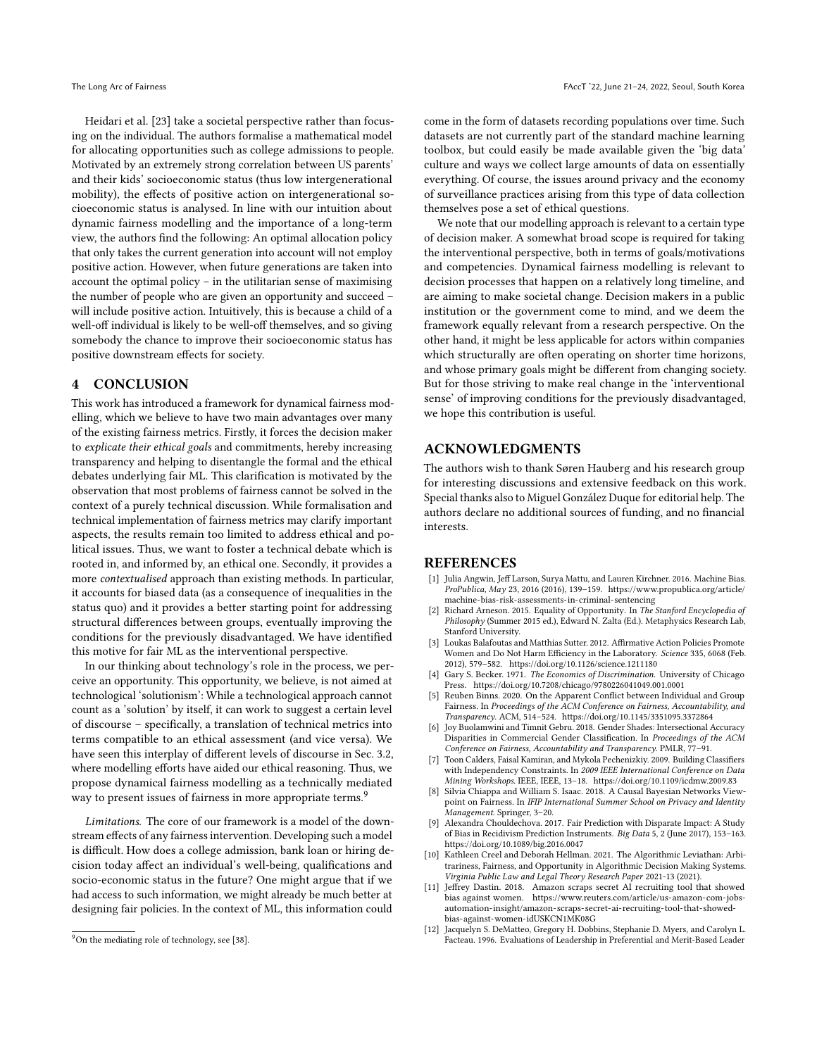Heidari et al. [\[23\]](#page-9-27) take a societal perspective rather than focusing on the individual. The authors formalise a mathematical model for allocating opportunities such as college admissions to people. Motivated by an extremely strong correlation between US parents' and their kids' socioeconomic status (thus low intergenerational mobility), the effects of positive action on intergenerational socioeconomic status is analysed. In line with our intuition about dynamic fairness modelling and the importance of a long-term view, the authors find the following: An optimal allocation policy that only takes the current generation into account will not employ positive action. However, when future generations are taken into account the optimal policy – in the utilitarian sense of maximising the number of people who are given an opportunity and succeed – will include positive action. Intuitively, this is because a child of a well-off individual is likely to be well-off themselves, and so giving somebody the chance to improve their socioeconomic status has positive downstream effects for society.

## <span id="page-8-4"></span>4 CONCLUSION

This work has introduced a framework for dynamical fairness modelling, which we believe to have two main advantages over many of the existing fairness metrics. Firstly, it forces the decision maker to explicate their ethical goals and commitments, hereby increasing transparency and helping to disentangle the formal and the ethical debates underlying fair ML. This clarification is motivated by the observation that most problems of fairness cannot be solved in the context of a purely technical discussion. While formalisation and technical implementation of fairness metrics may clarify important aspects, the results remain too limited to address ethical and political issues. Thus, we want to foster a technical debate which is rooted in, and informed by, an ethical one. Secondly, it provides a more contextualised approach than existing methods. In particular, it accounts for biased data (as a consequence of inequalities in the status quo) and it provides a better starting point for addressing structural differences between groups, eventually improving the conditions for the previously disadvantaged. We have identified this motive for fair ML as the interventional perspective.

In our thinking about technology's role in the process, we perceive an opportunity. This opportunity, we believe, is not aimed at technological 'solutionism': While a technological approach cannot count as a 'solution' by itself, it can work to suggest a certain level of discourse – specifically, a translation of technical metrics into terms compatible to an ethical assessment (and vice versa). We have seen this interplay of different levels of discourse in Sec. [3.2,](#page-5-0) where modelling efforts have aided our ethical reasoning. Thus, we propose dynamical fairness modelling as a technically mediated way to present issues of fairness in more appropriate terms.<sup>[9](#page-8-13)</sup>

Limitations. The core of our framework is a model of the downstream effects of any fairness intervention. Developing such a model is difficult. How does a college admission, bank loan or hiring decision today affect an individual's well-being, qualifications and socio-economic status in the future? One might argue that if we had access to such information, we might already be much better at designing fair policies. In the context of ML, this information could

come in the form of datasets recording populations over time. Such datasets are not currently part of the standard machine learning toolbox, but could easily be made available given the 'big data' culture and ways we collect large amounts of data on essentially everything. Of course, the issues around privacy and the economy of surveillance practices arising from this type of data collection themselves pose a set of ethical questions.

We note that our modelling approach is relevant to a certain type of decision maker. A somewhat broad scope is required for taking the interventional perspective, both in terms of goals/motivations and competencies. Dynamical fairness modelling is relevant to decision processes that happen on a relatively long timeline, and are aiming to make societal change. Decision makers in a public institution or the government come to mind, and we deem the framework equally relevant from a research perspective. On the other hand, it might be less applicable for actors within companies which structurally are often operating on shorter time horizons, and whose primary goals might be different from changing society. But for those striving to make real change in the 'interventional sense' of improving conditions for the previously disadvantaged, we hope this contribution is useful.

# ACKNOWLEDGMENTS

The authors wish to thank Søren Hauberg and his research group for interesting discussions and extensive feedback on this work. Special thanks also to Miguel González Duque for editorial help. The authors declare no additional sources of funding, and no financial interests.

#### REFERENCES

- <span id="page-8-0"></span>[1] Julia Angwin, Jeff Larson, Surya Mattu, and Lauren Kirchner. 2016. Machine Bias. ProPublica, May 23, 2016 (2016), 139–159. [https://www.propublica.org/article/](https://www.propublica.org/article/machine-bias-risk-assessments-in-criminal-sentencing) [machine-bias-risk-assessments-in-criminal-sentencing](https://www.propublica.org/article/machine-bias-risk-assessments-in-criminal-sentencing)
- <span id="page-8-9"></span>[2] Richard Arneson. 2015. Equality of Opportunity. In The Stanford Encyclopedia of Philosophy (Summer 2015 ed.), Edward N. Zalta (Ed.). Metaphysics Research Lab, Stanford University.
- <span id="page-8-12"></span>[3] Loukas Balafoutas and Matthias Sutter. 2012. Affirmative Action Policies Promote Women and Do Not Harm Efficiency in the Laboratory. Science 335, 6068 (Feb. 2012), 579–582.<https://doi.org/10.1126/science.1211180>
- <span id="page-8-10"></span>[4] Gary S. Becker. 1971. The Economics of Discrimination. University of Chicago Press.<https://doi.org/10.7208/chicago/9780226041049.001.0001>
- <span id="page-8-3"></span>[5] Reuben Binns. 2020. On the Apparent Conflict between Individual and Group Fairness. In Proceedings of the ACM Conference on Fairness, Accountability, and Transparency. ACM, 514–524.<https://doi.org/10.1145/3351095.3372864>
- <span id="page-8-1"></span>Joy Buolamwini and Timnit Gebru. 2018. Gender Shades: Intersectional Accuracy Disparities in Commercial Gender Classification. In Proceedings of the ACM Conference on Fairness, Accountability and Transparency. PMLR, 77–91.
- <span id="page-8-7"></span>[7] Toon Calders, Faisal Kamiran, and Mykola Pechenizkiy. 2009. Building Classifiers with Independency Constraints. In 2009 IEEE International Conference on Data Mining Workshops. IEEE, IEEE, 13–18.<https://doi.org/10.1109/icdmw.2009.83>
- <span id="page-8-6"></span>[8] Silvia Chiappa and William S. Isaac. 2018. A Causal Bayesian Networks Viewpoint on Fairness. In IFIP International Summer School on Privacy and Identity Management. Springer, 3–20.
- <span id="page-8-8"></span>[9] Alexandra Chouldechova. 2017. Fair Prediction with Disparate Impact: A Study of Bias in Recidivism Prediction Instruments. Big Data 5, 2 (June 2017), 153–163. <https://doi.org/10.1089/big.2016.0047>
- <span id="page-8-5"></span>[10] Kathleen Creel and Deborah Hellman. 2021. The Algorithmic Leviathan: Arbitrariness, Fairness, and Opportunity in Algorithmic Decision Making Systems. Virginia Public Law and Legal Theory Research Paper 2021-13 (2021).
- <span id="page-8-2"></span>[11] Jeffrey Dastin. 2018. Amazon scraps secret AI recruiting tool that showed bias against women. [https://www.reuters.com/article/us-amazon-com-jobs](https://www.reuters.com/article/us-amazon-com-jobs-automation-insight/amazon-scraps-secret-ai-recruiting-tool-that-showed-bias-against-women-idUSKCN1MK08G)[automation-insight/amazon-scraps-secret-ai-recruiting-tool-that-showed](https://www.reuters.com/article/us-amazon-com-jobs-automation-insight/amazon-scraps-secret-ai-recruiting-tool-that-showed-bias-against-women-idUSKCN1MK08G)[bias-against-women-idUSKCN1MK08G](https://www.reuters.com/article/us-amazon-com-jobs-automation-insight/amazon-scraps-secret-ai-recruiting-tool-that-showed-bias-against-women-idUSKCN1MK08G)
- <span id="page-8-11"></span>[12] Jacquelyn S. DeMatteo, Gregory H. Dobbins, Stephanie D. Myers, and Carolyn L. Facteau. 1996. Evaluations of Leadership in Preferential and Merit-Based Leader

<span id="page-8-13"></span><sup>&</sup>lt;sup>9</sup>On the mediating role of technology, see [\[38\]](#page-9-28).